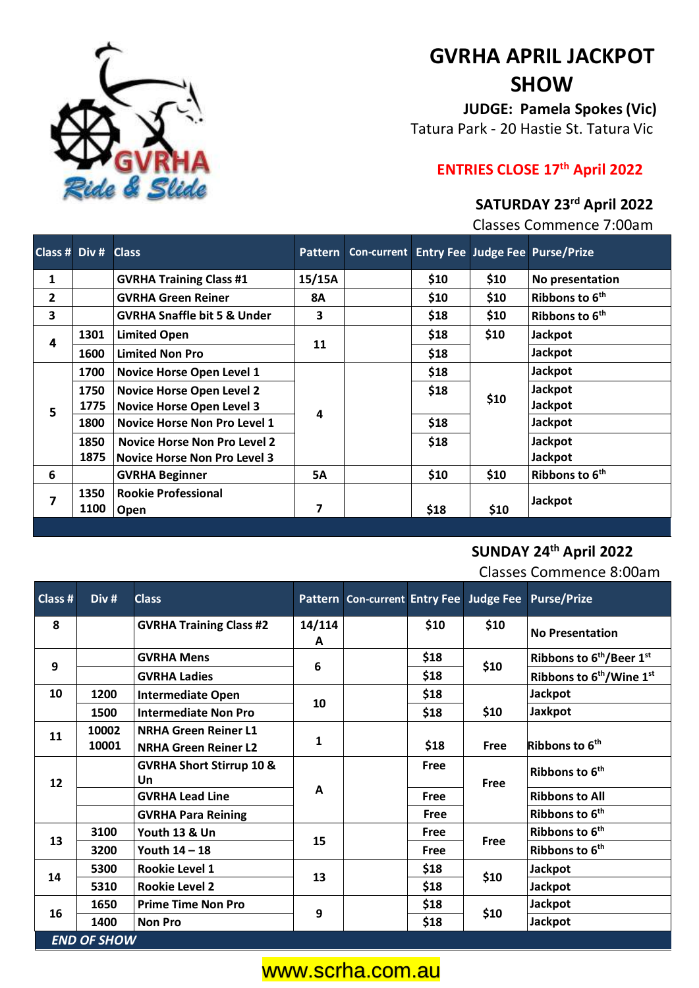

# **GVRHA APRIL JACKPOT SHOW**

**JUDGE: Pamela Spokes(Vic)** Tatura Park - 20 Hastie St. Tatura Vic

## **ENTRIES CLOSE 17th April 2022**

### **SATURDAY 23rd April 2022**

Classes Commence 7:00am

| Class # Div # Class |      |                                        |           |  |              |      | Pattern Con-current Entry Fee Judge Fee Purse/Prize |
|---------------------|------|----------------------------------------|-----------|--|--------------|------|-----------------------------------------------------|
| $\mathbf{1}$        |      | <b>GVRHA Training Class #1</b>         | 15/15A    |  | \$10         | \$10 | No presentation                                     |
| 2                   |      | <b>GVRHA Green Reiner</b>              | <b>8A</b> |  | \$10         | \$10 | Ribbons to 6 <sup>th</sup>                          |
| 3                   |      | <b>GVRHA Snaffle bit 5 &amp; Under</b> | 3         |  | \$18         | \$10 | Ribbons to 6 <sup>th</sup>                          |
| 4                   | 1301 | <b>Limited Open</b>                    | 11        |  | \$18         | \$10 | <b>Jackpot</b>                                      |
|                     | 1600 | <b>Limited Non Pro</b>                 |           |  | \$18         |      | Jackpot                                             |
| 5                   | 1700 | <b>Novice Horse Open Level 1</b>       | Δ         |  | \$18<br>\$18 | \$10 | Jackpot                                             |
|                     | 1750 | <b>Novice Horse Open Level 2</b>       |           |  |              |      | Jackpot                                             |
|                     | 1775 | <b>Novice Horse Open Level 3</b>       |           |  |              |      | Jackpot                                             |
|                     | 1800 | <b>Novice Horse Non Pro Level 1</b>    |           |  | \$18         |      | Jackpot                                             |
|                     | 1850 | <b>Novice Horse Non Pro Level 2</b>    |           |  | \$18         |      | Jackpot                                             |
|                     | 1875 | <b>Novice Horse Non Pro Level 3</b>    |           |  |              |      | Jackpot                                             |
| 6                   |      | <b>GVRHA Beginner</b>                  | <b>5A</b> |  | \$10         | \$10 | Ribbons to 6 <sup>th</sup>                          |
| 7                   | 1350 | <b>Rookie Professional</b>             |           |  | \$18         |      | <b>Jackpot</b>                                      |
|                     | 1100 | <b>Open</b>                            | 7         |  |              | \$10 |                                                     |

### **SUNDAY 24th April 2022**

Classes Commence 8:00am

| Class #            | Div #          | <b>Class</b>                                               |              |  |      |                | Pattern Con-current Entry Fee Judge Fee Purse/Prize |  |  |
|--------------------|----------------|------------------------------------------------------------|--------------|--|------|----------------|-----------------------------------------------------|--|--|
| 8                  |                | <b>GVRHA Training Class #2</b>                             | 14/114<br>A  |  | \$10 | \$10           | <b>No Presentation</b>                              |  |  |
| 9                  |                | <b>GVRHA Mens</b>                                          | 6            |  | \$18 |                | Ribbons to 6 <sup>th</sup> /Beer 1 <sup>st</sup>    |  |  |
|                    |                | <b>GVRHA Ladies</b>                                        |              |  | \$18 | \$10           | Ribbons to 6 <sup>th</sup> /Wine 1 <sup>st</sup>    |  |  |
| 10                 | 1200           | <b>Intermediate Open</b>                                   | 10           |  | \$18 | <b>Jackpot</b> |                                                     |  |  |
|                    | 1500           | <b>Intermediate Non Pro</b>                                |              |  | \$18 | \$10           | Jaxkpot                                             |  |  |
| 11                 | 10002<br>10001 | <b>NRHA Green Reiner L1</b><br><b>NRHA Green Reiner L2</b> | $\mathbf{1}$ |  | \$18 | Free           | Ribbons to 6 <sup>th</sup>                          |  |  |
| 12                 |                | <b>GVRHA Short Stirrup 10 &amp;</b><br>Un                  | A            |  | Free | Free           | Ribbons to 6 <sup>th</sup>                          |  |  |
|                    |                | <b>GVRHA Lead Line</b>                                     |              |  | Free |                | <b>Ribbons to All</b>                               |  |  |
|                    |                | <b>GVRHA Para Reining</b>                                  |              |  | Free |                | Ribbons to 6 <sup>th</sup>                          |  |  |
| 13                 | 3100           | Youth 13 & Un                                              | 15           |  | Free | Free           | Ribbons to 6 <sup>th</sup>                          |  |  |
|                    | 3200           | Youth 14 - 18                                              |              |  | Free |                | Ribbons to 6 <sup>th</sup>                          |  |  |
| 14                 | 5300           | <b>Rookie Level 1</b>                                      | 13           |  | \$18 | \$10           | <b>Jackpot</b>                                      |  |  |
|                    | 5310           | <b>Rookie Level 2</b>                                      |              |  | \$18 |                | <b>Jackpot</b>                                      |  |  |
| 16                 | 1650           | <b>Prime Time Non Pro</b>                                  | 9            |  | \$18 | \$10           | <b>Jackpot</b>                                      |  |  |
|                    | 1400           | <b>Non Pro</b>                                             |              |  | \$18 |                | <b>Jackpot</b>                                      |  |  |
| <b>END OF SHOW</b> |                |                                                            |              |  |      |                |                                                     |  |  |

### www.scrha.com.au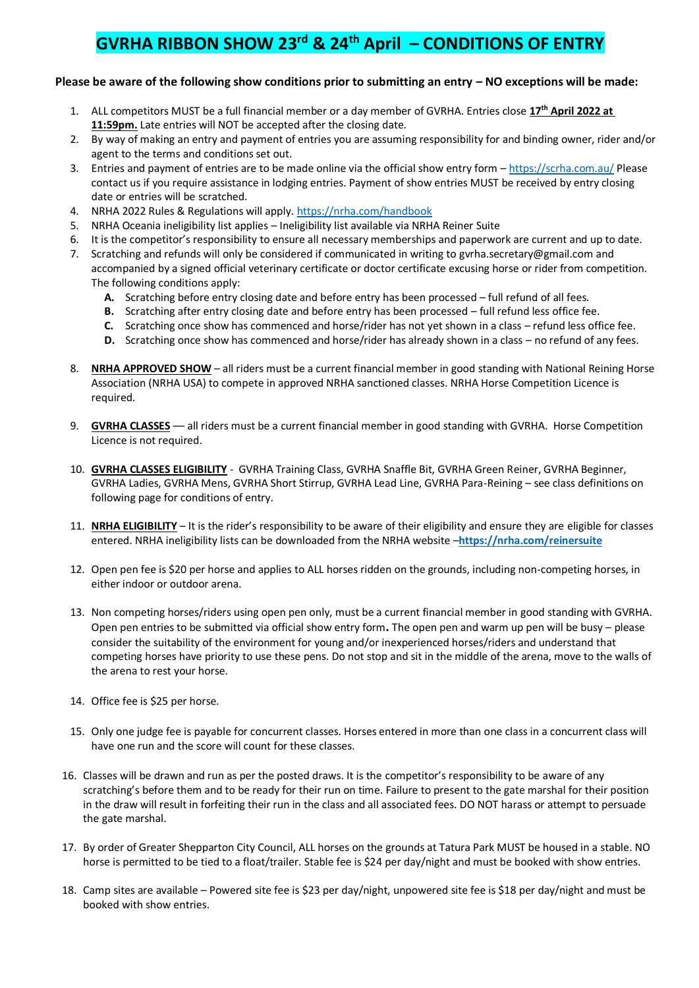### **GVRHA RIBBON SHOW 23rd & 24th April – CONDITIONS OF ENTRY**

#### **Please be aware of the following show conditions prior to submitting an entry – NO exceptions will be made:**

- 1. ALL competitors MUST be a full financial member or a day member of GVRHA. Entries close **17th April 2022 at 11:59pm.** Late entries will NOT be accepted after the closing date.
- 2. By way of making an entry and payment of entries you are assuming responsibility for and binding owner, rider and/or agent to the terms and conditions set out.
- 3. Entries and payment of entries are to be made online via the official show entry form <https://scrha.com.au/> Please contact us if you require assistance in lodging entries. Payment of show entries MUST be received by entry closing date or entries will be scratched.
- 4. NRHA 2022 Rules & Regulations will apply[. https://nrha.com/handbook](https://nrha.com/handbook)
- 5. NRHA Oceania ineligibility list applies Ineligibility list available via NRHA Reiner Suite
- 6. It is the competitor's responsibility to ensure all necessary memberships and paperwork are current and up to date.
- 7. Scratching and refunds will only be considered if communicated in writing to [gvrha.secretary@gmail.com](mailto:secretary@gvrha.com) and accompanied by a signed official veterinary certificate or doctor certificate excusing horse or rider from competition. The following conditions apply:
	- **A.** Scratching before entry closing date and before entry has been processed full refund of all fees.
	- **B.** Scratching after entry closing date and before entry has been processed full refund less office fee.
	- **C.** Scratching once show has commenced and horse/rider has not yet shown in a class refund less office fee.
	- **D.** Scratching once show has commenced and horse/rider has already shown in a class no refund of any fees.
- 8. **NRHA APPROVED SHOW** all riders must be a current financial member in good standing with National Reining Horse Association (NRHA USA) to compete in approved NRHA sanctioned classes. NRHA Horse Competition Licence is required.
- 9. **GVRHA CLASSES** –– all riders must be a current financial member in good standing with GVRHA. Horse Competition Licence is not required.
- 10. **GVRHA CLASSES ELIGIBILITY** GVRHA Training Class, GVRHA Snaffle Bit, GVRHA Green Reiner, GVRHA Beginner, GVRHA Ladies, GVRHA Mens, GVRHA Short Stirrup, GVRHA Lead Line, GVRHA Para-Reining – see class definitions on following page for conditions of entry.
- 11. **NRHA ELIGIBILITY** It is the rider's responsibility to be aware of their eligibility and ensure they are eligible for classes entered. NRHA ineligibility lists can be downloaded from the NRHA website –**<https://nrha.com/reinersuite>**
- 12. Open pen fee is \$20 per horse and applies to ALL horses ridden on the grounds, including non-competing horses, in either indoor or outdoor arena.
- 13. Non competing horses/riders using open pen only, must be a current financial member in good standing with GVRHA. Open pen entries to be submitted via official show entry form**.** The open pen and warm up pen will be busy – please consider the suitability of the environment for young and/or inexperienced horses/riders and understand that competing horses have priority to use these pens. Do not stop and sit in the middle of the arena, move to the walls of the arena to rest your horse.
- 14. Office fee is \$25 per horse.
- 15. Only one judge fee is payable for concurrent classes. Horses entered in more than one class in a concurrent class will have one run and the score will count for these classes.
- 16. Classes will be drawn and run as per the posted draws. It is the competitor's responsibility to be aware of any scratching's before them and to be ready for their run on time. Failure to present to the gate marshal for their position in the draw will result in forfeiting their run in the class and all associated fees. DO NOT harass or attempt to persuade the gate marshal.
- 17. By order of Greater Shepparton City Council, ALL horses on the grounds at Tatura Park MUST be housed in a stable. NO horse is permitted to be tied to a float/trailer. Stable fee is \$24 per day/night and must be booked with show entries.
- 18. Camp sites are available Powered site fee is \$23 per day/night, unpowered site fee is \$18 per day/night and must be booked with show entries.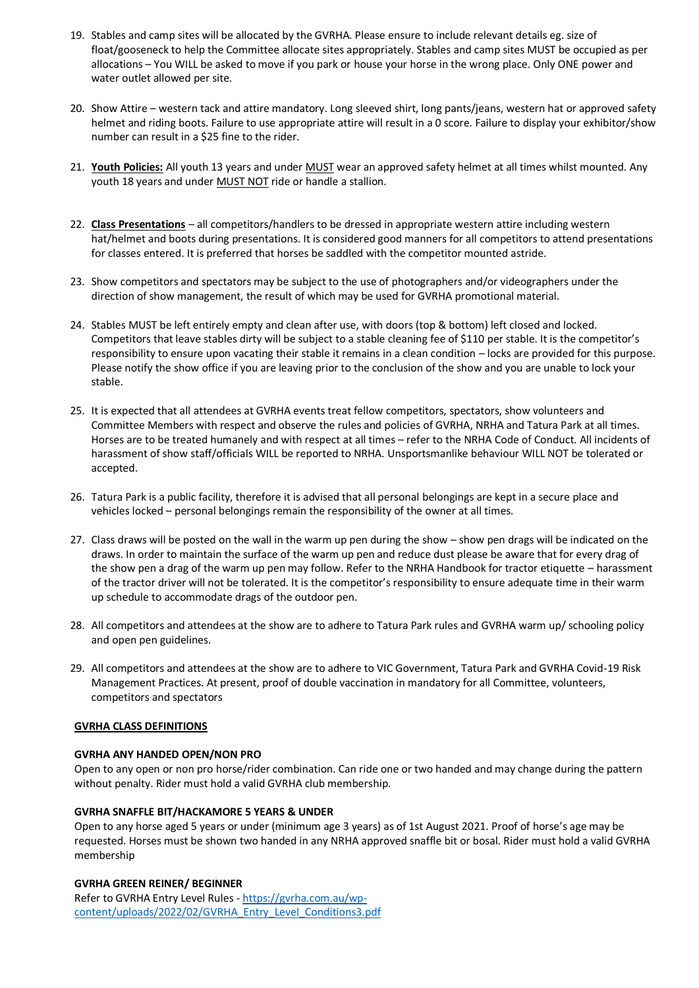- 19. Stables and camp sites will be allocated by the GVRHA. Please ensure to include relevant details eg. size of float/gooseneck to help the Committee allocate sites appropriately. Stables and camp sites MUST be occupied as per allocations – You WILL be asked to move if you park or house your horse in the wrong place. Only ONE power and water outlet allowed per site.
- 20. Show Attire western tack and attire mandatory. Long sleeved shirt, long pants/jeans, western hat or approved safety helmet and riding boots. Failure to use appropriate attire will result in a 0 score. Failure to display your exhibitor/show number can result in a \$25 fine to the rider.
- 21. **Youth Policies:** All youth 13 years and under MUST wear an approved safety helmet at all times whilst mounted. Any youth 18 years and under MUST NOT ride or handle a stallion.
- 22. **Class Presentations** all competitors/handlers to be dressed in appropriate western attire including western hat/helmet and boots during presentations. It is considered good manners for all competitors to attend presentations for classes entered. It is preferred that horses be saddled with the competitor mounted astride.
- 23. Show competitors and spectators may be subject to the use of photographers and/or videographers under the direction of show management, the result of which may be used for GVRHA promotional material.
- 24. Stables MUST be left entirely empty and clean after use, with doors (top & bottom) left closed and locked. Competitors that leave stables dirty will be subject to a stable cleaning fee of \$110 per stable. It is the competitor's responsibility to ensure upon vacating their stable it remains in a clean condition – locks are provided for this purpose. Please notify the show office if you are leaving prior to the conclusion of the show and you are unable to lock your stable.
- 25. It is expected that all attendees at GVRHA events treat fellow competitors, spectators, show volunteers and Committee Members with respect and observe the rules and policies of GVRHA, NRHA and Tatura Park at all times. Horses are to be treated humanely and with respect at all times – refer to the NRHA Code of Conduct. All incidents of harassment of show staff/officials WILL be reported to NRHA. Unsportsmanlike behaviour WILL NOT be tolerated or accepted.
- 26. Tatura Park is a public facility, therefore it is advised that all personal belongings are kept in a secure place and vehicles locked – personal belongings remain the responsibility of the owner at all times.
- 27. Class draws will be posted on the wall in the warm up pen during the show show pen drags will be indicated on the draws. In order to maintain the surface of the warm up pen and reduce dust please be aware that for every drag of the show pen a drag of the warm up pen may follow. Refer to the NRHA Handbook for tractor etiquette – harassment of the tractor driver will not be tolerated. It is the competitor's responsibility to ensure adequate time in their warm up schedule to accommodate drags of the outdoor pen.
- 28. All competitors and attendees at the show are to adhere to Tatura Park rules and GVRHA warm up/ schooling policy and open pen guidelines.
- 29. All competitors and attendees at the show are to adhere to VIC Government, Tatura Park and GVRHA Covid-19 Risk Management Practices. At present, proof of double vaccination in mandatory for all Committee, volunteers, competitors and spectators

#### **GVRHA CLASS DEFINITIONS**

#### **GVRHA ANY HANDED OPEN/NON PRO**

Open to any open or non pro horse/rider combination. Can ride one or two handed and may change during the pattern without penalty. Rider must hold a valid GVRHA club membership.

#### **GVRHA SNAFFLE BIT/HACKAMORE 5 YEARS & UNDER**

Open to any horse aged 5 years or under (minimum age 3 years) as of 1st August 2021. Proof of horse's age may be requested. Horses must be shown two handed in any NRHA approved snaffle bit or bosal. Rider must hold a valid GVRHA membership

#### **GVRHA GREEN REINER/ BEGINNER**

Refer to GVRHA Entry Level Rules - [https://gvrha.com.au/wp](https://gvrha.com.au/wp-content/uploads/2022/02/GVRHA_Entry_Level_Conditions3.pdf)[content/uploads/2022/02/GVRHA\\_Entry\\_Level\\_Conditions3.pdf](https://gvrha.com.au/wp-content/uploads/2022/02/GVRHA_Entry_Level_Conditions3.pdf)